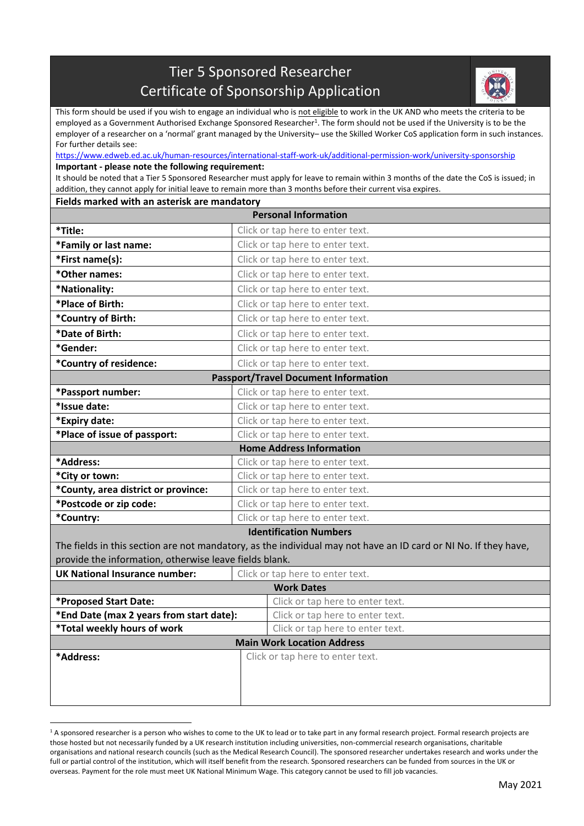## Tier 5 Sponsored Researcher Certificate of Sponsorship Application



This form should be used if you wish to engage an individual who is not eligible to work in the UK AND who meets the criteria to be employed as a Government Authorised Exchange Sponsored Researcher<sup>1</sup>. The form should not be used if the University is to be the employer of a researcher on a 'normal' grant managed by the University– use the Skilled Worker CoS application form in such instances. For further details see:

<https://www.edweb.ed.ac.uk/human-resources/international-staff-work-uk/additional-permission-work/university-sponsorship> **Important - please note the following requirement:**

It should be noted that a Tier 5 Sponsored Researcher must apply for leave to remain within 3 months of the date the CoS is issued; in addition, they cannot apply for initial leave to remain more than 3 months before their current visa expires.

## **Fields marked with an asterisk are mandatory**

 $\overline{a}$ 

| <b>Personal Information</b>                            |                                                                                                                 |  |  |  |  |
|--------------------------------------------------------|-----------------------------------------------------------------------------------------------------------------|--|--|--|--|
| *Title:                                                | Click or tap here to enter text.                                                                                |  |  |  |  |
| *Family or last name:                                  | Click or tap here to enter text.                                                                                |  |  |  |  |
| *First name(s):                                        | Click or tap here to enter text.                                                                                |  |  |  |  |
| *Other names:                                          | Click or tap here to enter text.                                                                                |  |  |  |  |
| *Nationality:                                          | Click or tap here to enter text.                                                                                |  |  |  |  |
| *Place of Birth:                                       | Click or tap here to enter text.                                                                                |  |  |  |  |
| *Country of Birth:                                     | Click or tap here to enter text.                                                                                |  |  |  |  |
| *Date of Birth:                                        | Click or tap here to enter text.                                                                                |  |  |  |  |
| *Gender:                                               | Click or tap here to enter text.                                                                                |  |  |  |  |
| *Country of residence:                                 | Click or tap here to enter text.                                                                                |  |  |  |  |
| <b>Passport/Travel Document Information</b>            |                                                                                                                 |  |  |  |  |
| *Passport number:                                      | Click or tap here to enter text.                                                                                |  |  |  |  |
| *Issue date:                                           | Click or tap here to enter text.                                                                                |  |  |  |  |
| *Expiry date:                                          | Click or tap here to enter text.                                                                                |  |  |  |  |
| *Place of issue of passport:                           | Click or tap here to enter text.                                                                                |  |  |  |  |
|                                                        | <b>Home Address Information</b>                                                                                 |  |  |  |  |
| *Address:                                              | Click or tap here to enter text.                                                                                |  |  |  |  |
| *City or town:                                         | Click or tap here to enter text.                                                                                |  |  |  |  |
| *County, area district or province:                    | Click or tap here to enter text.                                                                                |  |  |  |  |
| *Postcode or zip code:                                 | Click or tap here to enter text.                                                                                |  |  |  |  |
| *Country:                                              | Click or tap here to enter text.                                                                                |  |  |  |  |
|                                                        | <b>Identification Numbers</b>                                                                                   |  |  |  |  |
|                                                        | The fields in this section are not mandatory, as the individual may not have an ID card or NI No. If they have, |  |  |  |  |
| provide the information, otherwise leave fields blank. |                                                                                                                 |  |  |  |  |
| <b>UK National Insurance number:</b>                   | Click or tap here to enter text.                                                                                |  |  |  |  |
| <b>Work Dates</b>                                      |                                                                                                                 |  |  |  |  |
| *Proposed Start Date:                                  | Click or tap here to enter text.                                                                                |  |  |  |  |
| *End Date (max 2 years from start date):               | Click or tap here to enter text.                                                                                |  |  |  |  |
| *Total weekly hours of work                            | Click or tap here to enter text.                                                                                |  |  |  |  |
| <b>Main Work Location Address</b>                      |                                                                                                                 |  |  |  |  |
| *Address:                                              | Click or tap here to enter text.                                                                                |  |  |  |  |
|                                                        |                                                                                                                 |  |  |  |  |
|                                                        |                                                                                                                 |  |  |  |  |
|                                                        |                                                                                                                 |  |  |  |  |

<sup>&</sup>lt;sup>1</sup> A sponsored researcher is a person who wishes to come to the UK to lead or to take part in any formal research project. Formal research projects are those hosted but not necessarily funded by a UK research institution including universities, non-commercial research organisations, charitable organisations and national research councils (such as the Medical Research Council). The sponsored researcher undertakes research and works under the full or partial control of the institution, which will itself benefit from the research. Sponsored researchers can be funded from sources in the UK or overseas. Payment for the role must meet UK National Minimum Wage. This category cannot be used to fill job vacancies.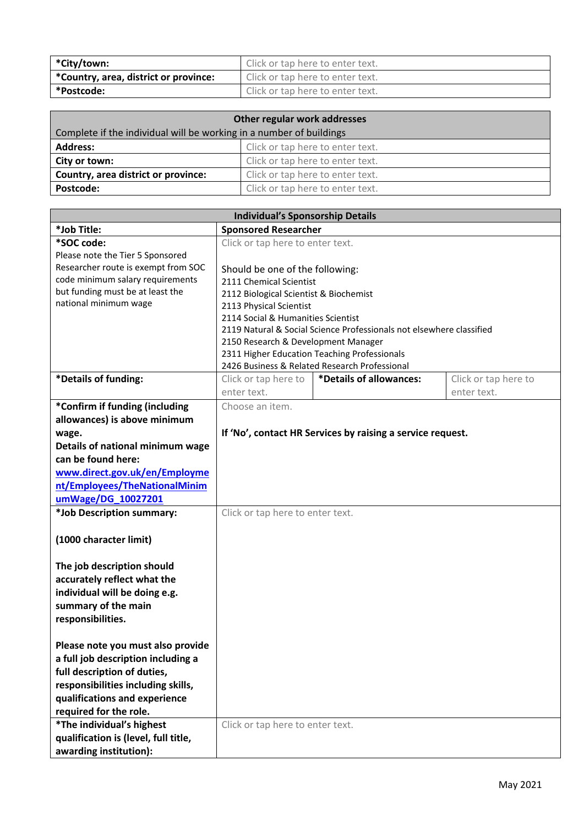| *City/town:                           | Click or tap here to enter text. |  |
|---------------------------------------|----------------------------------|--|
| *Country, area, district or province: | Click or tap here to enter text. |  |
| *Postcode:                            | Click or tap here to enter text. |  |

| Other regular work addresses                                        |                                  |  |  |
|---------------------------------------------------------------------|----------------------------------|--|--|
| Complete if the individual will be working in a number of buildings |                                  |  |  |
| <b>Address:</b>                                                     | Click or tap here to enter text. |  |  |
| City or town:                                                       | Click or tap here to enter text. |  |  |
| Country, area district or province:                                 | Click or tap here to enter text. |  |  |
| Postcode:                                                           | Click or tap here to enter text. |  |  |

| <b>Individual's Sponsorship Details</b> |                                                                      |                                               |                      |  |  |
|-----------------------------------------|----------------------------------------------------------------------|-----------------------------------------------|----------------------|--|--|
| *Job Title:                             | <b>Sponsored Researcher</b>                                          |                                               |                      |  |  |
| *SOC code:                              | Click or tap here to enter text.                                     |                                               |                      |  |  |
| Please note the Tier 5 Sponsored        |                                                                      |                                               |                      |  |  |
| Researcher route is exempt from SOC     | Should be one of the following:                                      |                                               |                      |  |  |
| code minimum salary requirements        | 2111 Chemical Scientist                                              |                                               |                      |  |  |
| but funding must be at least the        | 2112 Biological Scientist & Biochemist                               |                                               |                      |  |  |
| national minimum wage                   | 2113 Physical Scientist                                              |                                               |                      |  |  |
|                                         | 2114 Social & Humanities Scientist                                   |                                               |                      |  |  |
|                                         | 2119 Natural & Social Science Professionals not elsewhere classified |                                               |                      |  |  |
|                                         | 2150 Research & Development Manager                                  |                                               |                      |  |  |
|                                         | 2311 Higher Education Teaching Professionals                         |                                               |                      |  |  |
|                                         |                                                                      | 2426 Business & Related Research Professional |                      |  |  |
| *Details of funding:                    | Click or tap here to                                                 | *Details of allowances:                       | Click or tap here to |  |  |
|                                         | enter text.                                                          |                                               | enter text.          |  |  |
| *Confirm if funding (including          | Choose an item.                                                      |                                               |                      |  |  |
| allowances) is above minimum            |                                                                      |                                               |                      |  |  |
| wage.                                   | If 'No', contact HR Services by raising a service request.           |                                               |                      |  |  |
| Details of national minimum wage        |                                                                      |                                               |                      |  |  |
| can be found here:                      |                                                                      |                                               |                      |  |  |
| www.direct.gov.uk/en/Employme           |                                                                      |                                               |                      |  |  |
| nt/Employees/TheNationalMinim           |                                                                      |                                               |                      |  |  |
| umWage/DG_10027201                      |                                                                      |                                               |                      |  |  |
| *Job Description summary:               | Click or tap here to enter text.                                     |                                               |                      |  |  |
|                                         |                                                                      |                                               |                      |  |  |
| (1000 character limit)                  |                                                                      |                                               |                      |  |  |
|                                         |                                                                      |                                               |                      |  |  |
| The job description should              |                                                                      |                                               |                      |  |  |
| accurately reflect what the             |                                                                      |                                               |                      |  |  |
| individual will be doing e.g.           |                                                                      |                                               |                      |  |  |
| summary of the main                     |                                                                      |                                               |                      |  |  |
| responsibilities.                       |                                                                      |                                               |                      |  |  |
|                                         |                                                                      |                                               |                      |  |  |
|                                         |                                                                      |                                               |                      |  |  |
| Please note you must also provide       |                                                                      |                                               |                      |  |  |
| a full job description including a      |                                                                      |                                               |                      |  |  |
| full description of duties,             |                                                                      |                                               |                      |  |  |
| responsibilities including skills,      |                                                                      |                                               |                      |  |  |
| qualifications and experience           |                                                                      |                                               |                      |  |  |
| required for the role.                  |                                                                      |                                               |                      |  |  |
| *The individual's highest               | Click or tap here to enter text.                                     |                                               |                      |  |  |
| qualification is (level, full title,    |                                                                      |                                               |                      |  |  |
| awarding institution):                  |                                                                      |                                               |                      |  |  |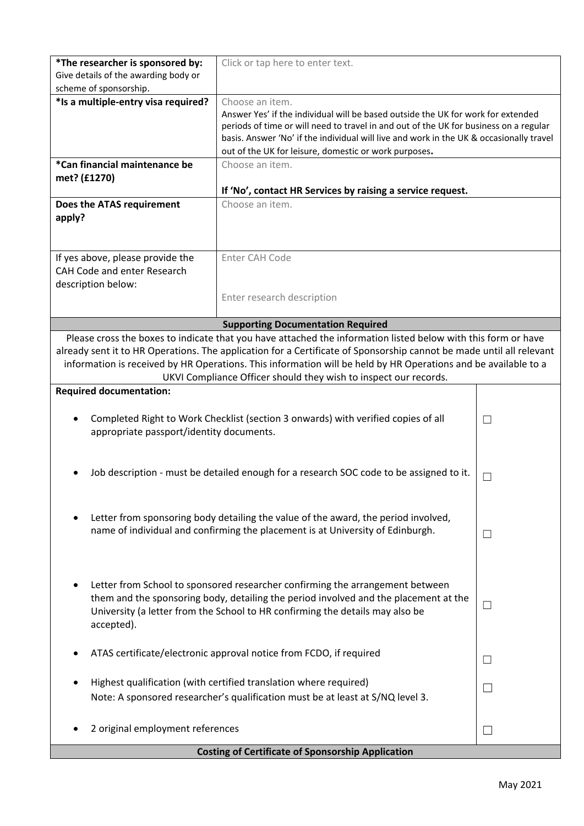| *The researcher is sponsored by:<br>Give details of the awarding body or<br>scheme of sponsorship.                                                                                                                                                                                                                                                                                                                          | Click or tap here to enter text.                                                                                                                                                                                                                                                        |  |  |  |
|-----------------------------------------------------------------------------------------------------------------------------------------------------------------------------------------------------------------------------------------------------------------------------------------------------------------------------------------------------------------------------------------------------------------------------|-----------------------------------------------------------------------------------------------------------------------------------------------------------------------------------------------------------------------------------------------------------------------------------------|--|--|--|
| *Is a multiple-entry visa required?                                                                                                                                                                                                                                                                                                                                                                                         | Choose an item.<br>Answer Yes' if the individual will be based outside the UK for work for extended<br>periods of time or will need to travel in and out of the UK for business on a regular<br>basis. Answer 'No' if the individual will live and work in the UK & occasionally travel |  |  |  |
| *Can financial maintenance be                                                                                                                                                                                                                                                                                                                                                                                               | out of the UK for leisure, domestic or work purposes.<br>Choose an item.                                                                                                                                                                                                                |  |  |  |
| met? (£1270)                                                                                                                                                                                                                                                                                                                                                                                                                |                                                                                                                                                                                                                                                                                         |  |  |  |
|                                                                                                                                                                                                                                                                                                                                                                                                                             | If 'No', contact HR Services by raising a service request.                                                                                                                                                                                                                              |  |  |  |
| Does the ATAS requirement<br>apply?                                                                                                                                                                                                                                                                                                                                                                                         | Choose an item.                                                                                                                                                                                                                                                                         |  |  |  |
| If yes above, please provide the                                                                                                                                                                                                                                                                                                                                                                                            | Enter CAH Code                                                                                                                                                                                                                                                                          |  |  |  |
| CAH Code and enter Research                                                                                                                                                                                                                                                                                                                                                                                                 |                                                                                                                                                                                                                                                                                         |  |  |  |
| description below:                                                                                                                                                                                                                                                                                                                                                                                                          |                                                                                                                                                                                                                                                                                         |  |  |  |
|                                                                                                                                                                                                                                                                                                                                                                                                                             | Enter research description                                                                                                                                                                                                                                                              |  |  |  |
|                                                                                                                                                                                                                                                                                                                                                                                                                             |                                                                                                                                                                                                                                                                                         |  |  |  |
|                                                                                                                                                                                                                                                                                                                                                                                                                             | <b>Supporting Documentation Required</b>                                                                                                                                                                                                                                                |  |  |  |
| Please cross the boxes to indicate that you have attached the information listed below with this form or have<br>already sent it to HR Operations. The application for a Certificate of Sponsorship cannot be made until all relevant<br>information is received by HR Operations. This information will be held by HR Operations and be available to a<br>UKVI Compliance Officer should they wish to inspect our records. |                                                                                                                                                                                                                                                                                         |  |  |  |
| <b>Required documentation:</b>                                                                                                                                                                                                                                                                                                                                                                                              |                                                                                                                                                                                                                                                                                         |  |  |  |
| Completed Right to Work Checklist (section 3 onwards) with verified copies of all<br>appropriate passport/identity documents.                                                                                                                                                                                                                                                                                               | $\Box$                                                                                                                                                                                                                                                                                  |  |  |  |
| Job description - must be detailed enough for a research SOC code to be assigned to it.                                                                                                                                                                                                                                                                                                                                     | $\Box$                                                                                                                                                                                                                                                                                  |  |  |  |
| Letter from sponsoring body detailing the value of the award, the period involved,<br>name of individual and confirming the placement is at University of Edinburgh.                                                                                                                                                                                                                                                        | $\Box$                                                                                                                                                                                                                                                                                  |  |  |  |
| Letter from School to sponsored researcher confirming the arrangement between<br>them and the sponsoring body, detailing the period involved and the placement at the<br>University (a letter from the School to HR confirming the details may also be<br>accepted).                                                                                                                                                        | $\Box$                                                                                                                                                                                                                                                                                  |  |  |  |
| ATAS certificate/electronic approval notice from FCDO, if required                                                                                                                                                                                                                                                                                                                                                          | $\Box$                                                                                                                                                                                                                                                                                  |  |  |  |
| Highest qualification (with certified translation where required)                                                                                                                                                                                                                                                                                                                                                           | $\Box$                                                                                                                                                                                                                                                                                  |  |  |  |
| Note: A sponsored researcher's qualification must be at least at S/NQ level 3.                                                                                                                                                                                                                                                                                                                                              |                                                                                                                                                                                                                                                                                         |  |  |  |
| 2 original employment references                                                                                                                                                                                                                                                                                                                                                                                            | $\Box$                                                                                                                                                                                                                                                                                  |  |  |  |
| <b>Costing of Certificate of Sponsorship Application</b>                                                                                                                                                                                                                                                                                                                                                                    |                                                                                                                                                                                                                                                                                         |  |  |  |